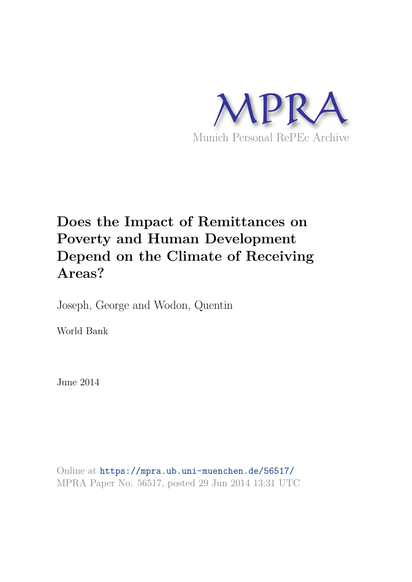

# **Does the Impact of Remittances on Poverty and Human Development Depend on the Climate of Receiving Areas?**

Joseph, George and Wodon, Quentin

World Bank

June 2014

Online at https://mpra.ub.uni-muenchen.de/56517/ MPRA Paper No. 56517, posted 29 Jun 2014 13:31 UTC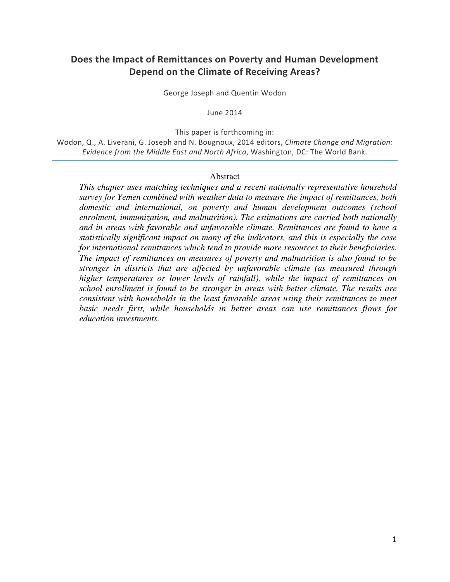## **Does the Impact of Remittances on Poverty and Human Development Depend on the Climate of Receiving Areas?**

George Joseph and Quentin Wodon

June 2014

This paper is forthcoming in:

Wodon, Q., A. Liverani, G. Joseph and N. Bougnoux, 2014 editors, *Climate Change and Migration: Evidence from the Middle East and North Africa*, Washington, DC: The World Bank.

#### Abstract

*This chapter uses matching techniques and a recent nationally representative household survey for Yemen combined with weather data to measure the impact of remittances, both domestic and international, on poverty and human development outcomes (school enrolment, immunization, and malnutrition). The estimations are carried both nationally and in areas with favorable and unfavorable climate. Remittances are found to have a statistically significant impact on many of the indicators, and this is especially the case for international remittances which tend to provide more resources to their beneficiaries. The impact of remittances on measures of poverty and malnutrition is also found to be stronger in districts that are affected by unfavorable climate (as measured through higher temperatures or lower levels of rainfall), while the impact of remittances on school enrollment is found to be stronger in areas with better climate. The results are consistent with households in the least favorable areas using their remittances to meet basic needs first, while households in better areas can use remittances flows for education investments.*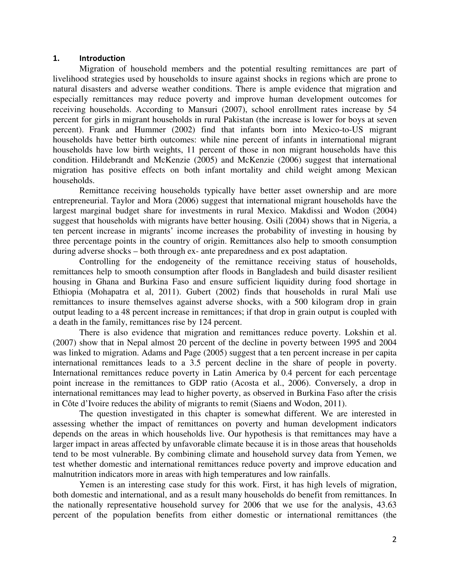## **1. Introduction**

Migration of household members and the potential resulting remittances are part of livelihood strategies used by households to insure against shocks in regions which are prone to natural disasters and adverse weather conditions. There is ample evidence that migration and especially remittances may reduce poverty and improve human development outcomes for receiving households. According to Mansuri (2007), school enrollment rates increase by 54 percent for girls in migrant households in rural Pakistan (the increase is lower for boys at seven percent). Frank and Hummer (2002) find that infants born into Mexico-to-US migrant households have better birth outcomes: while nine percent of infants in international migrant households have low birth weights, 11 percent of those in non migrant households have this condition. Hildebrandt and McKenzie (2005) and McKenzie (2006) suggest that international migration has positive effects on both infant mortality and child weight among Mexican households.

Remittance receiving households typically have better asset ownership and are more entrepreneurial. Taylor and Mora (2006) suggest that international migrant households have the largest marginal budget share for investments in rural Mexico. Makdissi and Wodon (2004) suggest that households with migrants have better housing. Osili (2004) shows that in Nigeria, a ten percent increase in migrants' income increases the probability of investing in housing by three percentage points in the country of origin. Remittances also help to smooth consumption during adverse shocks – both through ex- ante preparedness and ex post adaptation.

Controlling for the endogeneity of the remittance receiving status of households, remittances help to smooth consumption after floods in Bangladesh and build disaster resilient housing in Ghana and Burkina Faso and ensure sufficient liquidity during food shortage in Ethiopia (Mohapatra et al, 2011). Gubert (2002) finds that households in rural Mali use remittances to insure themselves against adverse shocks, with a 500 kilogram drop in grain output leading to a 48 percent increase in remittances; if that drop in grain output is coupled with a death in the family, remittances rise by 124 percent.

There is also evidence that migration and remittances reduce poverty. Lokshin et al. (2007) show that in Nepal almost 20 percent of the decline in poverty between 1995 and 2004 was linked to migration. Adams and Page (2005) suggest that a ten percent increase in per capita international remittances leads to a 3.5 percent decline in the share of people in poverty. International remittances reduce poverty in Latin America by 0.4 percent for each percentage point increase in the remittances to GDP ratio (Acosta et al., 2006). Conversely, a drop in international remittances may lead to higher poverty, as observed in Burkina Faso after the crisis in Côte d'Ivoire reduces the ability of migrants to remit (Siaens and Wodon, 2011).

The question investigated in this chapter is somewhat different. We are interested in assessing whether the impact of remittances on poverty and human development indicators depends on the areas in which households live. Our hypothesis is that remittances may have a larger impact in areas affected by unfavorable climate because it is in those areas that households tend to be most vulnerable. By combining climate and household survey data from Yemen, we test whether domestic and international remittances reduce poverty and improve education and malnutrition indicators more in areas with high temperatures and low rainfalls.

Yemen is an interesting case study for this work. First, it has high levels of migration, both domestic and international, and as a result many households do benefit from remittances. In the nationally representative household survey for 2006 that we use for the analysis, 43.63 percent of the population benefits from either domestic or international remittances (the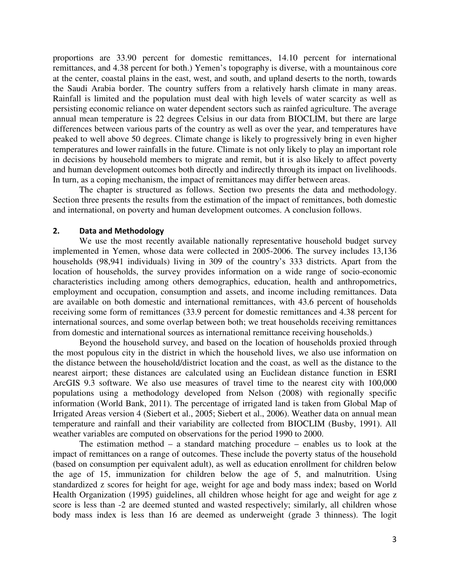proportions are 33.90 percent for domestic remittances, 14.10 percent for international remittances, and 4.38 percent for both.) Yemen's topography is diverse, with a mountainous core at the center, coastal plains in the east, west, and south, and upland deserts to the north, towards the Saudi Arabia border. The country suffers from a relatively harsh climate in many areas. Rainfall is limited and the population must deal with high levels of water scarcity as well as persisting economic reliance on water dependent sectors such as rainfed agriculture. The average annual mean temperature is 22 degrees Celsius in our data from BIOCLIM, but there are large differences between various parts of the country as well as over the year, and temperatures have peaked to well above 50 degrees. Climate change is likely to progressively bring in even higher temperatures and lower rainfalls in the future. Climate is not only likely to play an important role in decisions by household members to migrate and remit, but it is also likely to affect poverty and human development outcomes both directly and indirectly through its impact on livelihoods. In turn, as a coping mechanism, the impact of remittances may differ between areas.

The chapter is structured as follows. Section two presents the data and methodology. Section three presents the results from the estimation of the impact of remittances, both domestic and international, on poverty and human development outcomes. A conclusion follows.

### **2. Data and Methodology**

We use the most recently available nationally representative household budget survey implemented in Yemen, whose data were collected in 2005-2006. The survey includes 13,136 households (98,941 individuals) living in 309 of the country's 333 districts. Apart from the location of households, the survey provides information on a wide range of socio-economic characteristics including among others demographics, education, health and anthropometrics, employment and occupation, consumption and assets, and income including remittances. Data are available on both domestic and international remittances, with 43.6 percent of households receiving some form of remittances (33.9 percent for domestic remittances and 4.38 percent for international sources, and some overlap between both; we treat households receiving remittances from domestic and international sources as international remittance receiving households.)

Beyond the household survey, and based on the location of households proxied through the most populous city in the district in which the household lives, we also use information on the distance between the household/district location and the coast, as well as the distance to the nearest airport; these distances are calculated using an Euclidean distance function in ESRI ArcGIS 9.3 software. We also use measures of travel time to the nearest city with 100,000 populations using a methodology developed from Nelson (2008) with regionally specific information (World Bank, 2011). The percentage of irrigated land is taken from Global Map of Irrigated Areas version 4 (Siebert et al., 2005; Siebert et al., 2006). Weather data on annual mean temperature and rainfall and their variability are collected from BIOCLIM (Busby, 1991). All weather variables are computed on observations for the period 1990 to 2000.

The estimation method – a standard matching procedure – enables us to look at the impact of remittances on a range of outcomes. These include the poverty status of the household (based on consumption per equivalent adult), as well as education enrollment for children below the age of 15, immunization for children below the age of 5, and malnutrition. Using standardized z scores for height for age, weight for age and body mass index; based on World Health Organization (1995) guidelines, all children whose height for age and weight for age z score is less than -2 are deemed stunted and wasted respectively; similarly, all children whose body mass index is less than 16 are deemed as underweight (grade 3 thinness). The logit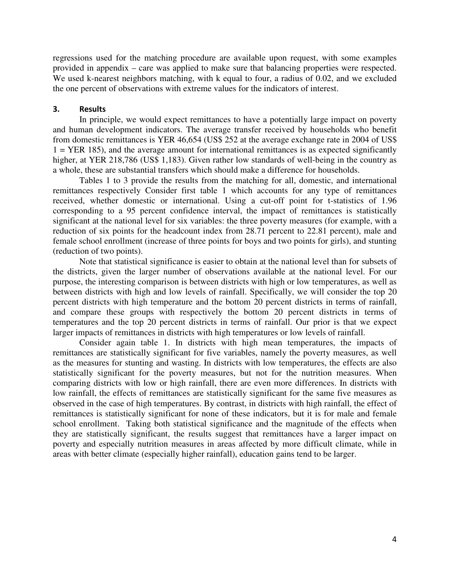regressions used for the matching procedure are available upon request, with some examples provided in appendix – care was applied to make sure that balancing properties were respected. We used k-nearest neighbors matching, with k equal to four, a radius of 0.02, and we excluded the one percent of observations with extreme values for the indicators of interest.

## **3. Results**

In principle, we would expect remittances to have a potentially large impact on poverty and human development indicators. The average transfer received by households who benefit from domestic remittances is YER 46,654 (US\$ 252 at the average exchange rate in 2004 of US\$  $1 = YER$  185), and the average amount for international remittances is as expected significantly higher, at YER 218,786 (US\$ 1,183). Given rather low standards of well-being in the country as a whole, these are substantial transfers which should make a difference for households.

Tables 1 to 3 provide the results from the matching for all, domestic, and international remittances respectively Consider first table 1 which accounts for any type of remittances received, whether domestic or international. Using a cut-off point for t-statistics of 1.96 corresponding to a 95 percent confidence interval, the impact of remittances is statistically significant at the national level for six variables: the three poverty measures (for example, with a reduction of six points for the headcount index from 28.71 percent to 22.81 percent), male and female school enrollment (increase of three points for boys and two points for girls), and stunting (reduction of two points).

Note that statistical significance is easier to obtain at the national level than for subsets of the districts, given the larger number of observations available at the national level. For our purpose, the interesting comparison is between districts with high or low temperatures, as well as between districts with high and low levels of rainfall. Specifically, we will consider the top 20 percent districts with high temperature and the bottom 20 percent districts in terms of rainfall, and compare these groups with respectively the bottom 20 percent districts in terms of temperatures and the top 20 percent districts in terms of rainfall. Our prior is that we expect larger impacts of remittances in districts with high temperatures or low levels of rainfall.

Consider again table 1. In districts with high mean temperatures, the impacts of remittances are statistically significant for five variables, namely the poverty measures, as well as the measures for stunting and wasting. In districts with low temperatures, the effects are also statistically significant for the poverty measures, but not for the nutrition measures. When comparing districts with low or high rainfall, there are even more differences. In districts with low rainfall, the effects of remittances are statistically significant for the same five measures as observed in the case of high temperatures. By contrast, in districts with high rainfall, the effect of remittances is statistically significant for none of these indicators, but it is for male and female school enrollment. Taking both statistical significance and the magnitude of the effects when they are statistically significant, the results suggest that remittances have a larger impact on poverty and especially nutrition measures in areas affected by more difficult climate, while in areas with better climate (especially higher rainfall), education gains tend to be larger.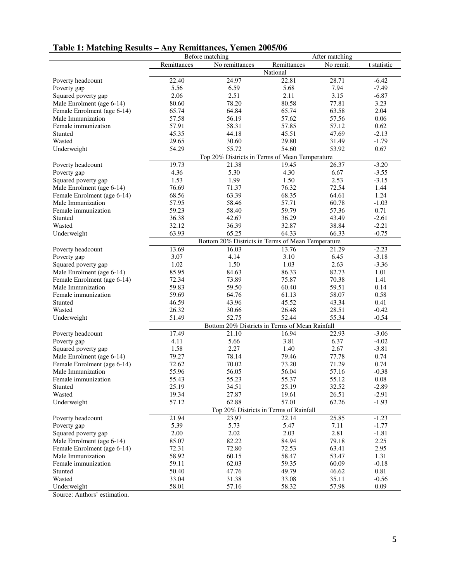| Table 1: Matching Results - Any Remittances, Yemen 2005/06 |  |
|------------------------------------------------------------|--|
|------------------------------------------------------------|--|

|                             | Before matching                                   |                                                | After matching |           |             |  |
|-----------------------------|---------------------------------------------------|------------------------------------------------|----------------|-----------|-------------|--|
|                             | Remittances                                       | No remittances                                 | Remittances    | No remit. | t statistic |  |
|                             | National                                          |                                                |                |           |             |  |
| Poverty headcount           | 22.40                                             | 24.97                                          | 22.81          | 28.71     | $-6.42$     |  |
| Poverty gap                 | 5.56                                              | 6.59                                           | 5.68           | 7.94      | $-7.49$     |  |
| Squared poverty gap         | 2.06                                              | 2.51                                           | 2.11           | 3.15      | $-6.87$     |  |
| Male Enrolment (age 6-14)   | 80.60                                             | 78.20                                          | 80.58          | 77.81     | 3.23        |  |
| Female Enrolment (age 6-14) | 65.74                                             | 64.84                                          | 65.74          | 63.58     | 2.04        |  |
| Male Immunization           | 57.58                                             | 56.19                                          | 57.62          | 57.56     | 0.06        |  |
| Female immunization         | 57.91                                             | 58.31                                          | 57.85          | 57.12     | 0.62        |  |
| Stunted                     | 45.35                                             | 44.18                                          | 45.51          | 47.69     | $-2.13$     |  |
| Wasted                      | 29.65                                             | 30.60                                          | 29.80          | 31.49     | $-1.79$     |  |
| Underweight                 | 54.29                                             | 55.72                                          | 54.60          | 53.92     | 0.67        |  |
|                             |                                                   | Top 20% Districts in Terms of Mean Temperature |                |           |             |  |
| Poverty headcount           | 19.73                                             | 21.38                                          | 19.45          | 26.37     | $-3.20$     |  |
| Poverty gap                 | 4.36                                              | 5.30                                           | 4.30           | 6.67      | $-3.55$     |  |
| Squared poverty gap         | 1.53                                              | 1.99                                           | 1.50           | 2.53      | $-3.15$     |  |
| Male Enrolment (age 6-14)   | 76.69                                             | 71.37                                          | 76.32          | 72.54     | 1.44        |  |
| Female Enrolment (age 6-14) | 68.56                                             | 63.39                                          | 68.35          | 64.61     | 1.24        |  |
| Male Immunization           | 57.95                                             | 58.46                                          | 57.71          | 60.78     | $-1.03$     |  |
| Female immunization         | 59.23                                             | 58.40                                          | 59.79          | 57.36     | 0.71        |  |
| Stunted                     | 36.38                                             | 42.67                                          | 36.29          | 43.49     | $-2.61$     |  |
| Wasted                      | 32.12                                             | 36.39                                          | 32.87          | 38.84     | $-2.21$     |  |
| Underweight                 | 63.93                                             | 65.25                                          | 64.33          | 66.33     | $-0.75$     |  |
|                             | Bottom 20% Districts in Terms of Mean Temperature |                                                |                |           |             |  |
| Poverty headcount           | 13.69                                             | 16.03                                          | 13.76          | 21.29     | $-2.23$     |  |
| Poverty gap                 | 3.07                                              | 4.14                                           | 3.10           | 6.45      | $-3.18$     |  |
| Squared poverty gap         | 1.02                                              | 1.50                                           | 1.03           | 2.63      | $-3.36$     |  |
| Male Enrolment (age 6-14)   | 85.95                                             | 84.63                                          | 86.33          | 82.73     | 1.01        |  |
| Female Enrolment (age 6-14) | 72.34                                             | 73.89                                          | 75.87          | 70.38     | 1.41        |  |
| Male Immunization           | 59.83                                             | 59.50                                          | 60.40          | 59.51     | 0.14        |  |
| Female immunization         | 59.69                                             | 64.76                                          | 61.13          | 58.07     | 0.58        |  |
| Stunted                     | 46.59                                             | 43.96                                          | 45.52          | 43.34     | 0.41        |  |
| Wasted                      | 26.32                                             | 30.66                                          | 26.48          | 28.51     | $-0.42$     |  |
| Underweight                 | 51.49                                             | 52.75                                          | 52.44          | 55.34     | $-0.54$     |  |
|                             |                                                   | Bottom 20% Districts in Terms of Mean Rainfall |                |           |             |  |
| Poverty headcount           | 17.49                                             | 21.10                                          | 16.94          | 22.93     | $-3.06$     |  |
| Poverty gap                 | 4.11                                              | 5.66                                           | 3.81           | 6.37      | $-4.02$     |  |
| Squared poverty gap         | 1.58                                              | 2.27                                           | 1.40           | 2.67      | $-3.81$     |  |
| Male Enrolment (age 6-14)   | 79.27                                             | 78.14                                          | 79.46          | 77.78     | 0.74        |  |
| Female Enrolment (age 6-14) | 72.62                                             | 70.02                                          | 73.20          | 71.29     | 0.74        |  |
| Male Immunization           | 55.96                                             | 56.05                                          | 56.04          | 57.16     | $-0.38$     |  |
| Female immunization         | 55.43                                             | 55.23                                          | 55.37          | 55.12     | $0.08\,$    |  |
| Stunted                     | 25.19                                             | 34.51                                          | 25.19          | 32.52     | $-2.89$     |  |
| Wasted                      | 19.34                                             | 27.87                                          | 19.61          | 26.51     | $-2.91$     |  |
| Underweight                 | 57.12                                             | 62.88                                          | 57.01          | 62.26     | $-1.93$     |  |
|                             |                                                   | Top 20% Districts in Terms of Rainfall         |                |           |             |  |
| Poverty headcount           | 21.94                                             | 23.97                                          | 22.14          | 25.85     | $-1.23$     |  |
| Poverty gap                 | 5.39                                              | 5.73                                           | 5.47           | 7.11      | $-1.77$     |  |
| Squared poverty gap         | 2.00                                              | 2.02                                           | 2.03           | 2.81      | $-1.81$     |  |
| Male Enrolment (age 6-14)   | 85.07                                             | 82.22                                          | 84.94          | 79.18     | 2.25        |  |
| Female Enrolment (age 6-14) | 72.31                                             | 72.80                                          | 72.53          | 63.41     | 2.95        |  |
| Male Immunization           | 58.92                                             | 60.15                                          | 58.47          | 53.47     | 1.31        |  |
| Female immunization         | 59.11                                             | 62.03                                          | 59.35          | 60.09     | $-0.18$     |  |
| Stunted                     | 50.40                                             | 47.76                                          | 49.79          | 46.62     | 0.81        |  |
| Wasted                      | 33.04                                             | 31.38                                          | 33.08          | 35.11     | $-0.56$     |  |
| Underweight                 | 58.01                                             | 57.16                                          | 58.32          | 57.98     | 0.09        |  |

Source: Authors' estimation.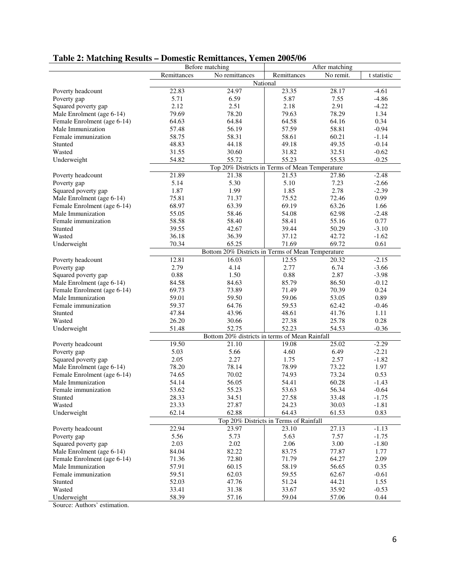## **Table 2: Matching Results – Domestic Remittances, Yemen 2005/06**

| Before matching<br>After matching<br>Remittances<br>No remittances<br>No remit.<br>Remittances<br>t statistic<br>National<br>22.83<br>24.97<br>23.35<br>28.17<br>$-4.61$<br>Poverty headcount<br>5.71<br>6.59<br>5.87<br>$-4.86$<br>7.55<br>Poverty gap<br>2.12<br>2.51<br>2.18<br>2.91<br>Squared poverty gap<br>$-4.22$<br>79.69<br>78.20<br>78.29<br>1.34<br>Male Enrolment (age 6-14)<br>79.63<br>64.84<br>64.16<br>0.34<br>Female Enrolment (age 6-14)<br>64.63<br>64.58 |
|-------------------------------------------------------------------------------------------------------------------------------------------------------------------------------------------------------------------------------------------------------------------------------------------------------------------------------------------------------------------------------------------------------------------------------------------------------------------------------|
|                                                                                                                                                                                                                                                                                                                                                                                                                                                                               |
|                                                                                                                                                                                                                                                                                                                                                                                                                                                                               |
|                                                                                                                                                                                                                                                                                                                                                                                                                                                                               |
|                                                                                                                                                                                                                                                                                                                                                                                                                                                                               |
|                                                                                                                                                                                                                                                                                                                                                                                                                                                                               |
|                                                                                                                                                                                                                                                                                                                                                                                                                                                                               |
|                                                                                                                                                                                                                                                                                                                                                                                                                                                                               |
| Male Immunization<br>57.59<br>$-0.94$<br>57.48<br>56.19<br>58.81                                                                                                                                                                                                                                                                                                                                                                                                              |
| Female immunization<br>58.75<br>58.31<br>58.61<br>60.21<br>$-1.14$                                                                                                                                                                                                                                                                                                                                                                                                            |
| 44.18<br>49.35<br>$-0.14$<br>48.83<br>49.18<br>Stunted                                                                                                                                                                                                                                                                                                                                                                                                                        |
| 31.55<br>30.60<br>31.82<br>32.51<br>$-0.62$<br>Wasted                                                                                                                                                                                                                                                                                                                                                                                                                         |
| 54.82<br>55.23<br>55.53<br>Underweight<br>55.72<br>$-0.25$                                                                                                                                                                                                                                                                                                                                                                                                                    |
| Top 20% Districts in Terms of Mean Temperature                                                                                                                                                                                                                                                                                                                                                                                                                                |
| 21.89<br>21.38<br>21.53<br>$-2.48$<br>Poverty headcount<br>27.86                                                                                                                                                                                                                                                                                                                                                                                                              |
| 5.30<br>5.14<br>5.10<br>7.23<br>$-2.66$<br>Poverty gap                                                                                                                                                                                                                                                                                                                                                                                                                        |
| 1.87<br>1.99<br>2.78<br>Squared poverty gap<br>1.85<br>$-2.39$                                                                                                                                                                                                                                                                                                                                                                                                                |
| 75.81<br>71.37<br>72.46<br>0.99<br>Male Enrolment (age 6-14)<br>75.52                                                                                                                                                                                                                                                                                                                                                                                                         |
| 68.97<br>69.19<br>63.26<br>Female Enrolment (age 6-14)<br>63.39<br>1.66                                                                                                                                                                                                                                                                                                                                                                                                       |
| Male Immunization<br>55.05<br>58.46<br>54.08<br>62.98<br>$-2.48$                                                                                                                                                                                                                                                                                                                                                                                                              |
| Female immunization<br>58.58<br>55.16<br>0.77<br>58.40<br>58.41                                                                                                                                                                                                                                                                                                                                                                                                               |
| 50.29<br>$-3.10$<br>Stunted<br>39.55<br>42.67<br>39.44                                                                                                                                                                                                                                                                                                                                                                                                                        |
| 36.18<br>36.39<br>37.12<br>42.72<br>Wasted<br>$-1.62$                                                                                                                                                                                                                                                                                                                                                                                                                         |
| Underweight<br>65.25<br>70.34<br>71.69<br>69.72<br>0.61                                                                                                                                                                                                                                                                                                                                                                                                                       |
| Bottom 20% Districts in Terms of Mean Temperature                                                                                                                                                                                                                                                                                                                                                                                                                             |
| 12.81<br>16.03<br>12.55<br>$-2.15$<br>20.32<br>Poverty headcount                                                                                                                                                                                                                                                                                                                                                                                                              |
| 2.79<br>4.14<br>2.77<br>6.74<br>$-3.66$<br>Poverty gap                                                                                                                                                                                                                                                                                                                                                                                                                        |
| 0.88<br>1.50<br>0.88<br>2.87<br>Squared poverty gap<br>$-3.98$                                                                                                                                                                                                                                                                                                                                                                                                                |
| Male Enrolment (age 6-14)<br>86.50<br>$-0.12$<br>84.58<br>84.63<br>85.79                                                                                                                                                                                                                                                                                                                                                                                                      |
| 73.89<br>70.39<br>0.24<br>Female Enrolment (age 6-14)<br>69.73<br>71.49                                                                                                                                                                                                                                                                                                                                                                                                       |
| 59.01<br>59.50<br>59.06<br>53.05<br>0.89<br>Male Immunization                                                                                                                                                                                                                                                                                                                                                                                                                 |
| 64.76<br>Female immunization<br>59.37<br>59.53<br>62.42<br>$-0.46$                                                                                                                                                                                                                                                                                                                                                                                                            |
| 47.84<br>41.76<br>Stunted<br>43.96<br>48.61<br>1.11                                                                                                                                                                                                                                                                                                                                                                                                                           |
| 26.20<br>25.78<br>Wasted<br>30.66<br>27.38<br>0.28                                                                                                                                                                                                                                                                                                                                                                                                                            |
| 52.75<br>52.23<br>54.53<br>Underweight<br>51.48<br>$-0.36$                                                                                                                                                                                                                                                                                                                                                                                                                    |
| Bottom 20% districts in terms of Mean Rainfall                                                                                                                                                                                                                                                                                                                                                                                                                                |
| 19.50<br>21.10<br>19.08<br>$-2.29$<br>Poverty headcount<br>25.02                                                                                                                                                                                                                                                                                                                                                                                                              |
| 5.03<br>5.66<br>4.60<br>6.49<br>$-2.21$<br>Poverty gap                                                                                                                                                                                                                                                                                                                                                                                                                        |
| Squared poverty gap<br>2.05<br>2.27<br>2.57<br>1.75<br>$-1.82$                                                                                                                                                                                                                                                                                                                                                                                                                |
| 78.20<br>78.99<br>73.22<br>Male Enrolment (age 6-14)<br>78.14<br>1.97                                                                                                                                                                                                                                                                                                                                                                                                         |
| 70.02<br>74.93<br>73.24<br>0.53<br>Female Enrolment (age 6-14)<br>74.65                                                                                                                                                                                                                                                                                                                                                                                                       |
| 54.41<br>60.28<br>Male Immunization<br>54.14<br>56.05<br>$-1.43$                                                                                                                                                                                                                                                                                                                                                                                                              |
| 53.62<br>55.23<br>53.63<br>56.34<br>$-0.64$<br>Female immunization                                                                                                                                                                                                                                                                                                                                                                                                            |
| 34.51<br>27.58<br>33.48<br>$-1.75$<br>Stunted<br>28.33                                                                                                                                                                                                                                                                                                                                                                                                                        |
| 27.87<br>Wasted<br>23.33<br>24.23<br>30.03<br>$-1.81$                                                                                                                                                                                                                                                                                                                                                                                                                         |
| 62.14<br>62.88<br>64.43<br>0.83<br>Underweight<br>61.53                                                                                                                                                                                                                                                                                                                                                                                                                       |
| Top 20% Districts in Terms of Rainfall                                                                                                                                                                                                                                                                                                                                                                                                                                        |
| 22.94<br>Poverty headcount<br>23.97<br>23.10<br>27.13<br>$-1.13$                                                                                                                                                                                                                                                                                                                                                                                                              |
| 5.56<br>5.73<br>7.57<br>5.63<br>$-1.75$<br>Poverty gap                                                                                                                                                                                                                                                                                                                                                                                                                        |
| 2.03<br>2.02<br>2.06<br>3.00<br>Squared poverty gap<br>$-1.80$                                                                                                                                                                                                                                                                                                                                                                                                                |
| Male Enrolment (age 6-14)<br>84.04<br>82.22<br>83.75<br>77.87<br>1.77                                                                                                                                                                                                                                                                                                                                                                                                         |
| 72.80<br>Female Enrolment (age 6-14)<br>71.36<br>71.79<br>64.27<br>2.09                                                                                                                                                                                                                                                                                                                                                                                                       |
| 57.91<br>60.15<br>56.65<br>Male Immunization<br>58.19<br>0.35                                                                                                                                                                                                                                                                                                                                                                                                                 |
| 59.51<br>62.03<br>59.55<br>62.67<br>$-0.61$<br>Female immunization                                                                                                                                                                                                                                                                                                                                                                                                            |
| 52.03<br>47.76<br>51.24<br>44.21<br>1.55<br>Stunted                                                                                                                                                                                                                                                                                                                                                                                                                           |
| Wasted<br>33.41<br>31.38<br>33.67<br>35.92<br>$-0.53$                                                                                                                                                                                                                                                                                                                                                                                                                         |
| Underweight<br>58.39<br>59.04<br>0.44<br>57.16<br>57.06                                                                                                                                                                                                                                                                                                                                                                                                                       |

Source: Authors' estimation.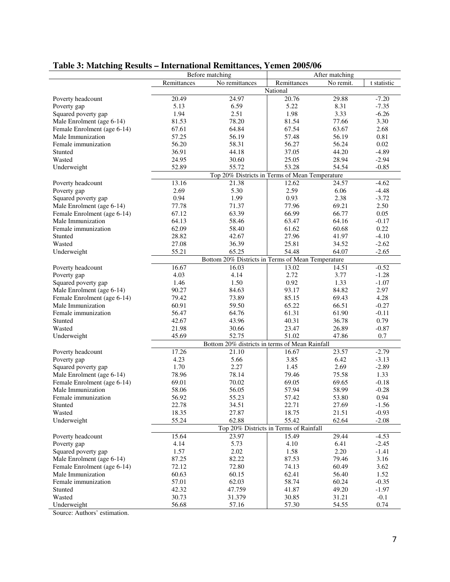|                             |                    | mich national rechnetances,<br>Before matching    |                                        | After matching |             |
|-----------------------------|--------------------|---------------------------------------------------|----------------------------------------|----------------|-------------|
|                             | Remittances        | No remittances                                    | Remittances                            |                |             |
|                             |                    |                                                   | National                               | No remit.      | t statistic |
|                             |                    |                                                   |                                        |                |             |
| Poverty headcount           | 20.49              | 24.97                                             | 20.76                                  | 29.88          | $-7.20$     |
| Poverty gap                 | 5.13               | 6.59                                              | 5.22                                   | 8.31           | $-7.35$     |
| Squared poverty gap         | 1.94               | 2.51                                              | 1.98                                   | 3.33           | $-6.26$     |
| Male Enrolment (age 6-14)   | 81.53              | 78.20                                             | 81.54                                  | 77.66          | 3.30        |
| Female Enrolment (age 6-14) | 67.61              | 64.84                                             | 67.54                                  | 63.67          | 2.68        |
| Male Immunization           | 57.25              | 56.19                                             | 57.48                                  | 56.19          | 0.81        |
| Female immunization         | 56.20              | 58.31                                             | 56.27                                  | 56.24          | 0.02        |
| Stunted                     | 36.91              | 44.18                                             | 37.05                                  | 44.20          | $-4.89$     |
| Wasted                      | 24.95              | 30.60                                             | 25.05                                  | 28.94          | $-2.94$     |
| Underweight                 | 52.89              | 55.72                                             | 53.28                                  | 54.54          | $-0.85$     |
|                             |                    | Top 20% Districts in Terms of Mean Temperature    |                                        |                |             |
| Poverty headcount           | $\overline{13.16}$ | 21.38                                             | 12.62                                  | 24.57          | $-4.62$     |
| Poverty gap                 | 2.69               | 5.30                                              | 2.59                                   | 6.06           | $-4.48$     |
| Squared poverty gap         | 0.94               | 1.99                                              | 0.93                                   | 2.38           | $-3.72$     |
| Male Enrolment (age 6-14)   | 77.78              | 71.37                                             | 77.96                                  | 69.21          | 2.50        |
| Female Enrolment (age 6-14) | 67.12              | 63.39                                             | 66.99                                  | 66.77          | 0.05        |
| Male Immunization           | 64.13              | 58.46                                             | 63.47                                  | 64.16          | $-0.17$     |
| Female immunization         | 62.09              | 58.40                                             | 61.62                                  | 60.68          | 0.22        |
| Stunted                     | 28.82              | 42.67                                             | 27.96                                  | 41.97          | $-4.10$     |
| Wasted                      | 27.08              | 36.39                                             | 25.81                                  | 34.52          | $-2.62$     |
| Underweight                 | 55.21              | 65.25                                             | 54.48                                  | 64.07          | $-2.65$     |
|                             |                    | Bottom 20% Districts in Terms of Mean Temperature |                                        |                |             |
| Poverty headcount           | 16.67              | 16.03                                             | 13.02                                  | 14.51          | $-0.52$     |
| Poverty gap                 | 4.03               | 4.14                                              | 2.72                                   | 3.77           | $-1.28$     |
| Squared poverty gap         | 1.46               | 1.50                                              | 0.92                                   | 1.33           | $-1.07$     |
| Male Enrolment (age 6-14)   | 90.27              | 84.63                                             | 93.17                                  | 84.82          | 2.97        |
| Female Enrolment (age 6-14) | 79.42              | 73.89                                             | 85.15                                  | 69.43          | 4.28        |
| Male Immunization           | 60.91              | 59.50                                             | 65.22                                  | 66.51          | $-0.27$     |
| Female immunization         | 56.47              | 64.76                                             | 61.31                                  | 61.90          | $-0.11$     |
| Stunted                     | 42.67              | 43.96                                             | 40.31                                  | 36.78          | 0.79        |
| Wasted                      | 21.98              | 30.66                                             | 23.47                                  | 26.89          | $-0.87$     |
| Underweight                 | 45.69              | 52.75                                             | 51.02                                  | 47.86          | 0.7         |
|                             |                    | Bottom 20% districts in terms of Mean Rainfall    |                                        |                |             |
| Poverty headcount           | 17.26              | 21.10                                             | 16.67                                  | 23.57          | $-2.79$     |
| Poverty gap                 | 4.23               | 5.66                                              | 3.85                                   | 6.42           | $-3.13$     |
| Squared poverty gap         | 1.70               | 2.27                                              | 1.45                                   | 2.69           | $-2.89$     |
| Male Enrolment (age 6-14)   | 78.96              | 78.14                                             | 79.46                                  | 75.58          | 1.33        |
| Female Enrolment (age 6-14) | 69.01              | 70.02                                             | 69.05                                  | 69.65          | $-0.18$     |
| Male Immunization           | 58.06              | 56.05                                             | 57.94                                  | 58.99          | $-0.28$     |
| Female immunization         | 56.92              | 55.23                                             | 57.42                                  | 53.80          | 0.94        |
| Stunted                     | 22.78              | 34.51                                             | 22.71                                  | 27.69          | $-1.56$     |
| Wasted                      | 18.35              | 27.87                                             | 18.75                                  | 21.51          | $-0.93$     |
| Underweight                 | 55.24              | 62.88                                             | 55.42                                  | 62.64          | $-2.08$     |
|                             |                    |                                                   | Top 20% Districts in Terms of Rainfall |                |             |
| Poverty headcount           | 15.64              | 23.97                                             | 15.49                                  | 29.44          | $-4.53$     |
| Poverty gap                 | 4.14               | 5.73                                              | 4.10                                   | 6.41           | $-2.45$     |
| Squared poverty gap         | 1.57               | 2.02                                              | 1.58                                   | 2.20           | $-1.41$     |
| Male Enrolment (age 6-14)   | 87.25              | 82.22                                             | 87.53                                  | 79.46          | 3.16        |
| Female Enrolment (age 6-14) | 72.12              | 72.80                                             | 74.13                                  | 60.49          | 3.62        |
| Male Immunization           | 60.63              | 60.15                                             | 62.41                                  | 56.40          | 1.52        |
| Female immunization         | 57.01              | 62.03                                             | 58.74                                  | 60.24          | $-0.35$     |
| Stunted                     | 42.32              | 47.759                                            | 41.87                                  | 49.20          | $-1.97$     |
| Wasted                      | 30.73              | 31.379                                            | 30.85                                  | 31.21          | $-0.1$      |
| Underweight                 | 56.68              | 57.16                                             | 57.30                                  | 54.55          | 0.74        |

## **Table 3: Matching Results – International Remittances, Yemen 2005/06**

Source: Authors' estimation.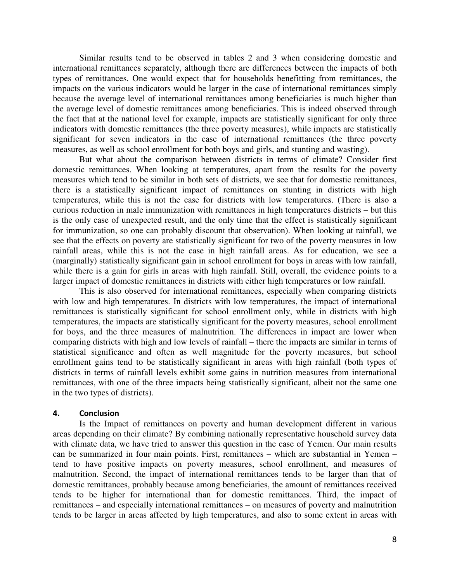Similar results tend to be observed in tables 2 and 3 when considering domestic and international remittances separately, although there are differences between the impacts of both types of remittances. One would expect that for households benefitting from remittances, the impacts on the various indicators would be larger in the case of international remittances simply because the average level of international remittances among beneficiaries is much higher than the average level of domestic remittances among beneficiaries. This is indeed observed through the fact that at the national level for example, impacts are statistically significant for only three indicators with domestic remittances (the three poverty measures), while impacts are statistically significant for seven indicators in the case of international remittances (the three poverty measures, as well as school enrollment for both boys and girls, and stunting and wasting).

But what about the comparison between districts in terms of climate? Consider first domestic remittances. When looking at temperatures, apart from the results for the poverty measures which tend to be similar in both sets of districts, we see that for domestic remittances, there is a statistically significant impact of remittances on stunting in districts with high temperatures, while this is not the case for districts with low temperatures. (There is also a curious reduction in male immunization with remittances in high temperatures districts – but this is the only case of unexpected result, and the only time that the effect is statistically significant for immunization, so one can probably discount that observation). When looking at rainfall, we see that the effects on poverty are statistically significant for two of the poverty measures in low rainfall areas, while this is not the case in high rainfall areas. As for education, we see a (marginally) statistically significant gain in school enrollment for boys in areas with low rainfall, while there is a gain for girls in areas with high rainfall. Still, overall, the evidence points to a larger impact of domestic remittances in districts with either high temperatures or low rainfall.

This is also observed for international remittances, especially when comparing districts with low and high temperatures. In districts with low temperatures, the impact of international remittances is statistically significant for school enrollment only, while in districts with high temperatures, the impacts are statistically significant for the poverty measures, school enrollment for boys, and the three measures of malnutrition. The differences in impact are lower when comparing districts with high and low levels of rainfall – there the impacts are similar in terms of statistical significance and often as well magnitude for the poverty measures, but school enrollment gains tend to be statistically significant in areas with high rainfall (both types of districts in terms of rainfall levels exhibit some gains in nutrition measures from international remittances, with one of the three impacts being statistically significant, albeit not the same one in the two types of districts).

#### **4. Conclusion**

Is the Impact of remittances on poverty and human development different in various areas depending on their climate? By combining nationally representative household survey data with climate data, we have tried to answer this question in the case of Yemen. Our main results can be summarized in four main points. First, remittances – which are substantial in Yemen – tend to have positive impacts on poverty measures, school enrollment, and measures of malnutrition. Second, the impact of international remittances tends to be larger than that of domestic remittances, probably because among beneficiaries, the amount of remittances received tends to be higher for international than for domestic remittances. Third, the impact of remittances – and especially international remittances – on measures of poverty and malnutrition tends to be larger in areas affected by high temperatures, and also to some extent in areas with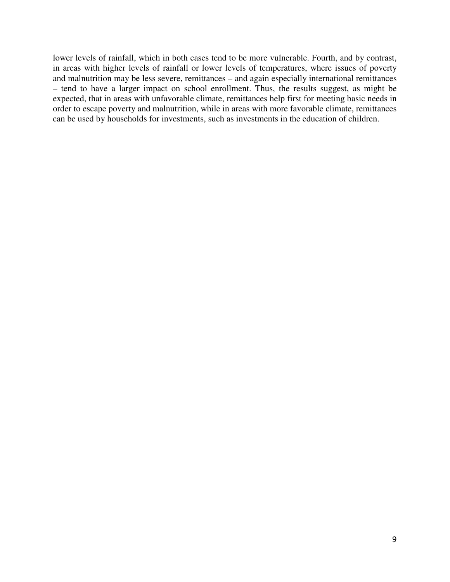lower levels of rainfall, which in both cases tend to be more vulnerable. Fourth, and by contrast, in areas with higher levels of rainfall or lower levels of temperatures, where issues of poverty and malnutrition may be less severe, remittances – and again especially international remittances – tend to have a larger impact on school enrollment. Thus, the results suggest, as might be expected, that in areas with unfavorable climate, remittances help first for meeting basic needs in order to escape poverty and malnutrition, while in areas with more favorable climate, remittances can be used by households for investments, such as investments in the education of children.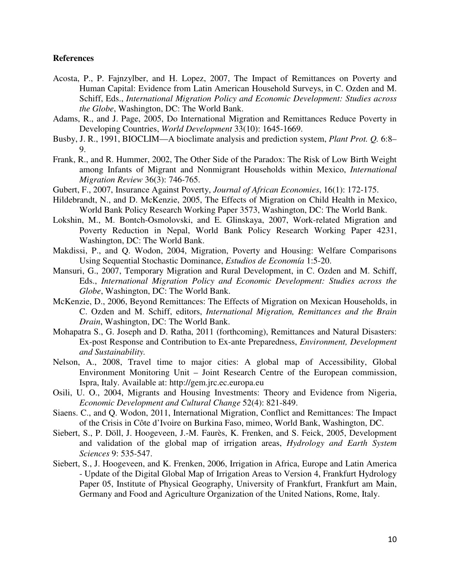#### **References**

- Acosta, P., P. Fajnzylber, and H. Lopez, 2007, The Impact of Remittances on Poverty and Human Capital: Evidence from Latin American Household Surveys, in C. Ozden and M. Schiff, Eds., *International Migration Policy and Economic Development: Studies across the Globe*, Washington, DC: The World Bank.
- Adams, R., and J. Page, 2005, Do International Migration and Remittances Reduce Poverty in Developing Countries, *World Development* 33(10): 1645-1669.
- Busby, J. R., 1991, BIOCLIM—A bioclimate analysis and prediction system, *Plant Prot. Q.* 6:8– 9.
- Frank, R., and R. Hummer, 2002, The Other Side of the Paradox: The Risk of Low Birth Weight among Infants of Migrant and Nonmigrant Households within Mexico, *International Migration Review* 36(3): 746-765.
- Gubert, F., 2007, Insurance Against Poverty, *Journal of African Economies*, 16(1): 172-175.
- Hildebrandt, N., and D. McKenzie, 2005, The Effects of Migration on Child Health in Mexico, World Bank Policy Research Working Paper 3573, Washington, DC: The World Bank.
- Lokshin, M., M. Bontch-Osmolovski, and E. Glinskaya, 2007, Work-related Migration and Poverty Reduction in Nepal, World Bank Policy Research Working Paper 4231, Washington, DC: The World Bank.
- Makdissi, P., and Q. Wodon, 2004, Migration, Poverty and Housing: Welfare Comparisons Using Sequential Stochastic Dominance, *Estudios de Economía* 1:5-20.
- Mansuri, G., 2007, Temporary Migration and Rural Development, in C. Ozden and M. Schiff, Eds., *International Migration Policy and Economic Development: Studies across the Globe*, Washington, DC: The World Bank.
- McKenzie, D., 2006, Beyond Remittances: The Effects of Migration on Mexican Households, in C. Ozden and M. Schiff, editors, *International Migration, Remittances and the Brain Drain*, Washington, DC: The World Bank.
- Mohapatra S., G. Joseph and D. Ratha, 2011 (forthcoming), Remittances and Natural Disasters: Ex-post Response and Contribution to Ex-ante Preparedness, *Environment, Development and Sustainability.*
- Nelson, A., 2008, Travel time to major cities: A global map of Accessibility, Global Environment Monitoring Unit – Joint Research Centre of the European commission, Ispra, Italy. Available at: http://gem.jrc.ec.europa.eu
- Osili, U. O., 2004, Migrants and Housing Investments: Theory and Evidence from Nigeria, *Economic Development and Cultural Change* 52(4): 821-849.
- Siaens. C., and Q. Wodon, 2011, International Migration, Conflict and Remittances: The Impact of the Crisis in Côte d'Ivoire on Burkina Faso, mimeo, World Bank, Washington, DC.
- Siebert, S., P. Döll, J. Hoogeveen, J.-M. Faurès, K. Frenken, and S. Feick, 2005, Development and validation of the global map of irrigation areas, *Hydrology and Earth System Sciences* 9: 535-547.
- Siebert, S., J. Hoogeveen, and K. Frenken, 2006, Irrigation in Africa, Europe and Latin America - Update of the Digital Global Map of Irrigation Areas to Version 4, Frankfurt Hydrology Paper 05, Institute of Physical Geography, University of Frankfurt, Frankfurt am Main, Germany and Food and Agriculture Organization of the United Nations, Rome, Italy.